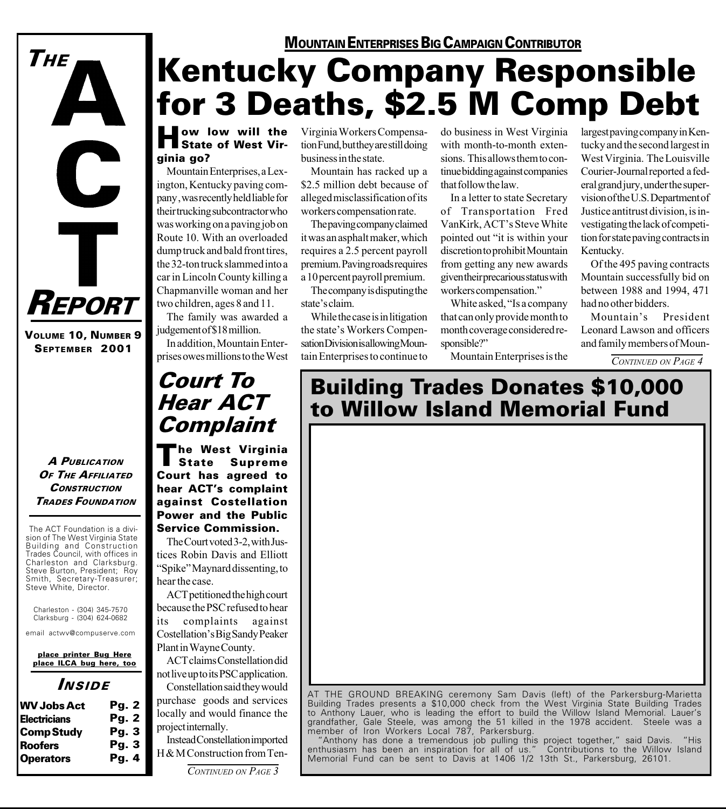

VOLUME 10, NUMBER 9 SEPTEMBER 2001

## A PUBLICATION OF THE AFFILIATED **CONSTRUCTION** TRADES FOUNDATION

The ACT Foundation is a division of The West Virginia State Building and Construction Trades Council, with offices in Charleston and Clarksburg. Steve Burton, President; Roy Smith, Secretary-Treasurer; Steve White, Director.

Charleston - (304) 345-7570 Clarksburg - (304) 624-0682

email actwv@compuserve.com

place printer Bug Here place ILCA bug here, too

## INSIDE

| <b>WV Jobs Act</b>  | Pg. 2        |
|---------------------|--------------|
| <b>Electricians</b> | <b>Pg. 2</b> |
| <b>Comp Study</b>   | <b>Pg. 3</b> |
| <b>Roofers</b>      | <b>Pg. 3</b> |
| <b>Operators</b>    | Pq.4         |

## MOUNTAIN ENTERPRISES BIG CAMPAIGN CONTRIBUTOR

# Kentucky Company Responsible for 3 Deaths, \$2.5 M Comp Debt

## **How low will the State of West Vir**ginia go?

Mountain Enterprises, a Lexington, Kentucky paving company , was recently held liable for their trucking subcontractor who was working on a paving job on Route 10. With an overloaded dump truck and bald front tires, the 32-ton truck slammed into a car in Lincoln County killing a Chapmanville woman and her two children, ages 8 and 11.

The family was awarded a judgement of \$18 million.

In addition, Mountain Enterprises owes millions to the West Virginia Workers Compensation Fund, but they are still doing business in the state.

Mountain has racked up a \$2.5 million debt because of alleged misclassification of its workers compensation rate.

The paving company claimed it was an asphalt maker, which requires a 2.5 percent payroll premium. Paving roads requires a 10 percent payroll premium.

The company is disputing the state's claim.

While the case is in litigation the state's Workers Compensation Division is allowing Mountain Enterprises to continue to

do business in West Virginia with month-to-month extensions. This allows them to continue bidding against companies that follow the law.

In a letter to state Secretary of Transportation Fred VanKirk, ACT's Steve White pointed out "it is within your discretion to prohibit Mountain from getting any new awards given their precarious status with workers compensation.

White asked, "Is a company" that can only provide month to month coverage considered responsible?"

Mountain Enterprises is the

largest paving company in Kentucky and the second largest in West Virginia. The Louisville Courier-Journal reported a federal grand jury, under the supervision of the U.S. Department of Justice antitrust division, is investigating the lack of competition for state paving contracts in Kentucky.

Of the 495 paving contracts Mountain successfully bid on between 1988 and 1994, 471 had no other bidders.

Mountain's President Leonard Lawson and officers and family members of Moun-

CONTINUED ON PAGE 4

## Court To Hear ACT Complaint

The West Virginia<br>| State Supreme Supreme Court has agreed to hear ACT's complaint against Costellation Power and the Public Service Commission.

The Court voted 3-2, with Justices Robin Davis and Elliott "Spike" Maynard dissenting, to hear the case.

ACT petitioned the high court because the PSC refused to hear its complaints against Costellation's Big Sandy Peaker Plant in Wayne County.

ACT claims Constellation did not live up to its PSC application. Constellation said they would

purchase goods and services locally and would finance the project internally.

Instead Constellation imported H & M Construction from Ten-

### CONTINUED ON PAGE 3

## Building Trades Donates \$10,000 to Willow Island Memorial Fund



to Anthony Lauer, who is leading the effort to build the Willow Island Memorial. Lauer's grandfather, Gale Steele, was among the 51 killed in the 1978 accident. Steele was a member of Iron Workers Local 787, Parkersburg.

"Anthony has done a tremendous job pulling this project together," said Davis. "His enthusiasm has been an inspiration for all of us." Contributions to the Willow Island Memorial Fund can be sent to Davis at 1406 1/2 13th St., Parkersburg, 26101.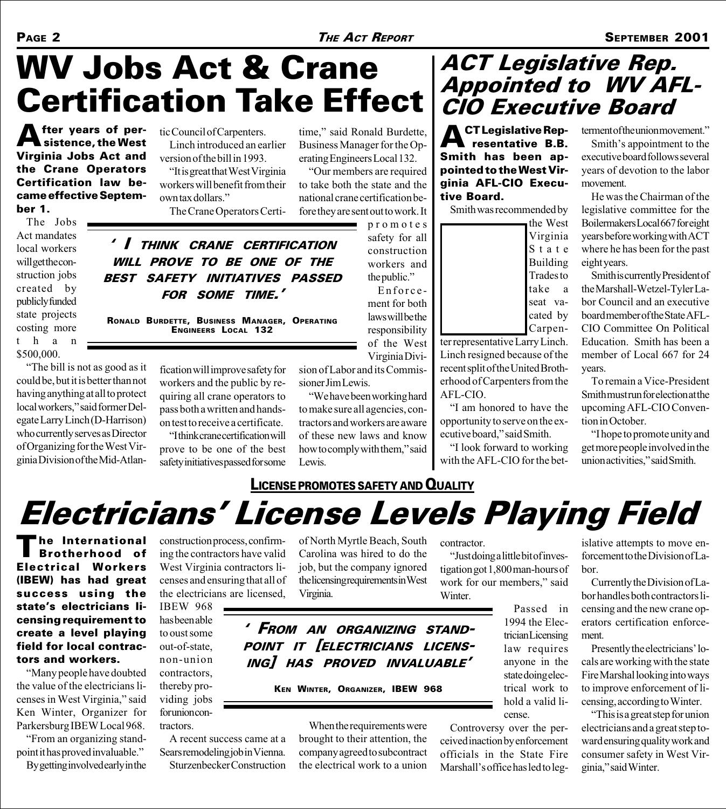# WV Jobs Act & Crane Certification Take Effect

**A** fter years of per-<br>sistence, the West Virginia Jobs Act and the Crane Operators Certification law became effective September 1.

The Jobs Act mandates local workers will get the construction jobs created by publicly funded state projects costing more than \$500,000.

The bill is not as good as it could be, but it is better than not BEST SAFETY INITIATIVES PASSED RONALD BURDETTE, BUSINESS MANAGER, OPERATING

having anything at all to protect local workers," said former Delegate Larry Linch (D-Harrison) who currently serves as Director of Organizing for the West Virginia Division of the Mid-Atlantic Council of Carpenters. Linch introduced an earlier version of the bill in 1993.

"It is great that West Virginia" workers will benefit from their own tax dollars. The Crane Operators Certi-

 I THINK CRANE CERTIFICATION WILL PROVE TO BE ONE OF THE

FOR SOME TIME.

time," said Ronald Burdette, Business Manager for the Operating Engineers Local 132.

Our members are required to take both the state and the national crane certification before they are sent out to work. It

promotes safety for all construction workers and the public." Enforce-

ment for both laws will be the responsibility of the West Virginia Divi-

sion of Labor and its Commissioner Jim Lewis.

We have been working hard to make sure all agencies, contractors and workers are aware of these new laws and know how to comply with them," said Lewis.

## LICENSE PROMOTES SAFETY AND QUALITY

ACT Legislative Rep. Appointed to WV AFL-CIO Executive Board

**ACT Legislative Rep-**<br>
resentative B.B. Smith has been appointed to the West Virginia AFL-CIO Executive Board.

Smith was recommended by



ter representative Larry Linch. Linch resigned because of the recent split of the United Brotherhood of Carpenters from the AFL-CIO.

I am honored to have the opportunity to serve on the executive board," said Smith.

"I look forward to working with the AFL-CIO for the betterment of the union movement."

Smith's appointment to the executive board follows several years of devotion to the labor movement.

He was the Chairman of the legislative committee for the Boilermakers Local 667 for eight years before working with ACT where he has been for the past eight years.

Smith is currently President of the Marshall-Wetzel-Tyler Labor Council and an executive board member of the State AFL-CIO Committee On Political Education. Smith has been a member of Local 667 for 24 years.

To remain a Vice-President Smith must run for election at the upcoming AFL-CIO Convention in October.

I hope to promote unity and get more people involved in the union activities," said Smith.

# **Electricians' License Levels Playing Field**

The International<br>Brotherhood of Electrical Workers (IBEW) has had great success using the state's electricians licensing requirement to create a level playing field for local contractors and workers.

Many people have doubted the value of the electricians licenses in West Virginia," said Ken Winter, Organizer for Parkersburg IBEW Local 968. From an organizing standpoint it has proved invaluable. By getting involved early in the construction process, confirming the contractors have valid West Virginia contractors licenses and ensuring that all of the electricians are licensed,

IBEW 968 has been able to oust some out-of-state, non-union contractors, thereby providing jobs for union contractors.

A recent success came at a Sears remodeling job in Vienna. Sturzenbecker Construction of North Myrtle Beach, South Carolina was hired to do the job, but the company ignored the licensing requirements in West Virginia.

## FROM AN ORGANIZING STAND-POINT IT [ELECTRICIANS LICENS-ING] HAS PROVED INVALUABLE

### KEN WINTER, ORGANIZER, IBEW 968

When the requirements were brought to their attention, the company agreed to subcontract the electrical work to a union contractor.

Just doing a little bit of investigation got 1,800 man-hours of work for our members," said Winter.

> Passed in 1994 the Electrician Licensing law requires anyone in the state doing electrical work to hold a valid license.

Controversy over the perceived inaction by enforcement officials in the State Fire Marshall's office has led to legislative attempts to move enforcement to the Division of Labor.

Currently the Division of Labor handles both contractors licensing and the new crane operators certification enforcement.

Presently the electricians' locals are working with the state Fire Marshal looking into ways to improve enforcement of licensing, according to Winter.

This is a great step for union electricians and a great step toward ensuring quality work and consumer safety in West Virginia," said Winter.

fication will improve safety for workers and the public by re-ENGINEERS LOCAL 132

quiring all crane operators to pass both a written and handson test to receive a certificate. I think crane certification will prove to be one of the best safety initiatives passed for some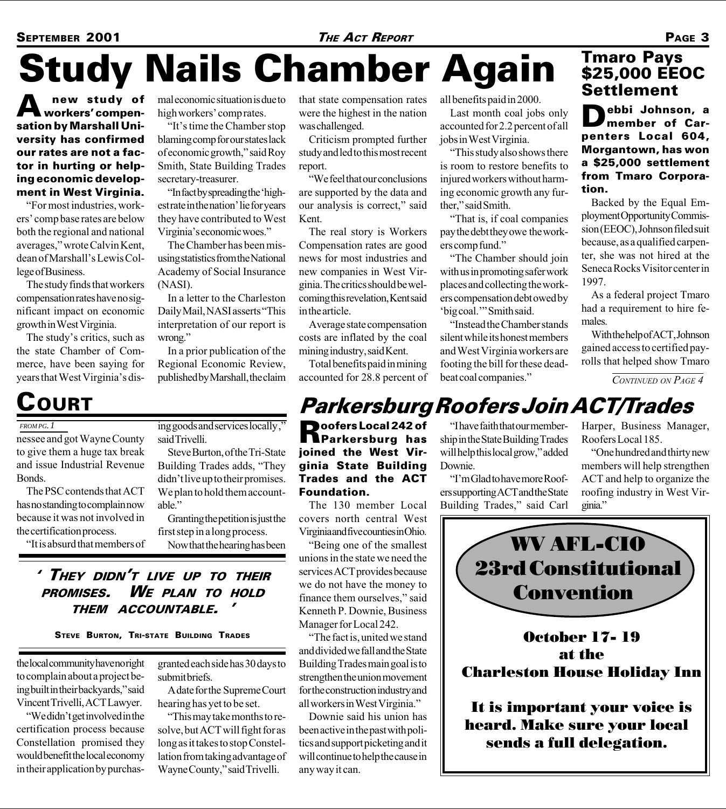# Study Nails Chamber Again

A new study of sation by Marshall University has confirmed our rates are not a factor in hurting or helping economic development in West Virginia.

For most industries, workers' comp base rates are below both the regional and national averages, wrote Calvin Kent, dean of Marshall's Lewis College of Business.

The study finds that workers compensation rates have no significant impact on economic growth in West Virginia.

The study's critics, such as the state Chamber of Commerce, have been saying for years that West Virginia's dismal economic situation is due to high workers' comprates.

"It's time the Chamber stop" blaming comp for our states lack of economic growth," said Roy Smith, State Building Trades secretary-treasurer.

'In fact by spreading the 'highest rate in the nation' lie for years they have contributed to West Virginia's economic woes."

using statistics from the National Academy of Social Insurance (NASI).

In a letter to the Charleston Daily Mail, NASI asserts "This interpretation of our report is wrong.

In a prior publication of the Regional Economic Review, published by Marshall, the claim

The Chamber has been mis-

that state compensation rates were the highest in the nation was challenged.

Criticism prompted further study and led to this most recent report.

We feel that our conclusions are supported by the data and our analysis is correct," said Kent.

The real story is Workers Compensation rates are good news for most industries and new companies in West Virginia. The critics should be welcoming this revelation, Kent said in the article.

Average state compensation costs are inflated by the coal mining industry, said Kent.

Total benefits paid in mining accounted for 28.8 percent of

Trades and the ACT

The 130 member Local covers north central West Virginia and five counties in Ohio. Being one of the smallest unions in the state we need the services ACT provides because we do not have the money to finance them ourselves," said Kenneth P. Downie, Business

Foundation.

Manager for Local 242.

any way it can.

The fact is, united we stand and divided we fall and the State Building Trades main goal is to strengthen the union movement for the construction industry and all workers in West Virginia. Downie said his union has been active in the past with politics and support picketing and it will continue to help the cause in

all benefits paid in 2000.

Last month coal jobs only accounted for 2.2 percent of all jobs in West Virginia.

This study also shows there is room to restore benefits to injured workers without harming economic growth any further," said Smith.

That is, if coal companies pay the debt they owe the workers comp fund.

The Chamber should join with us in promoting safer work places and collecting the workers compensation debt owed by 'big coal.'" Smith said.

Instead the Chamber stands silent while its honest members and West Virginia workers are footing the bill for these deadbeat coal companies.

## Tmaro Pays \$25,000 EEOC Settlement

Debbi Johnson, a member of Carpenters Local 604, Morgantown, has won a \$25,000 settlement from Tmaro Corporation.

Backed by the Equal Employment Opportunity Commission (EEOC), Johnson filed suit because, as a qualified carpenter, she was not hired at the Seneca Rocks Visitor center in 1997.

As a federal project Tmaro had a requirement to hire females.

With the help of ACT, Johnson gained access to certified payrolls that helped show Tmaro

CONTINUED ON PAGE 4

# COURT Parkersburg Roofers Join ACT/Trades

### *FROM PG. 1*

nessee and got Wayne County to give them a huge tax break and issue Industrial Revenue Bonds.

The PSC contends that ACT has no standing to complain now because it was not involved in the certification process.

"It is absurd that members of

ing goods and services locally , said Trivelli.

Steve Burton, of the Tri-State Building Trades adds, "They didn't live up to their promises. We plan to hold them accountable."

Granting the petition is just the first step in a long process. Now that the hearing has been

' They didn't live up to their PROMISES. WE PLAN TO HOLD THEM ACCOUNTABLE.

STEVE BURTON, TRI-STATE BUILDING TRADES

the local community have no right to complain about a project being built in their backyards," said Vincent Trivelli, ACT Lawyer.

"We didn't get involved in the certification process because Constellation promised they would benefit the local economy in their application by purchasgranted each side has 30 days to submit briefs.

A date for the Supreme Court hearing has yet to be set.

This may take months to resolve, but ACT will fight for as long as it takes to stop Constellation from taking advantage of Wayne County," said Trivelli.

**Poofers Local 242 of**<br>**Parkersburg** has joined the West Virginia State Building "I have faith that our membership in the State Building Trades will help this local grow," added Downie.

> 'T'm Glad to have more Roofers supporting ACT and the State Building Trades," said Carl

Harper, Business Manager, Roofers Local 185.

One hundred and thirty new members will help strengthen ACT and help to organize the roofing industry in West Virginia.